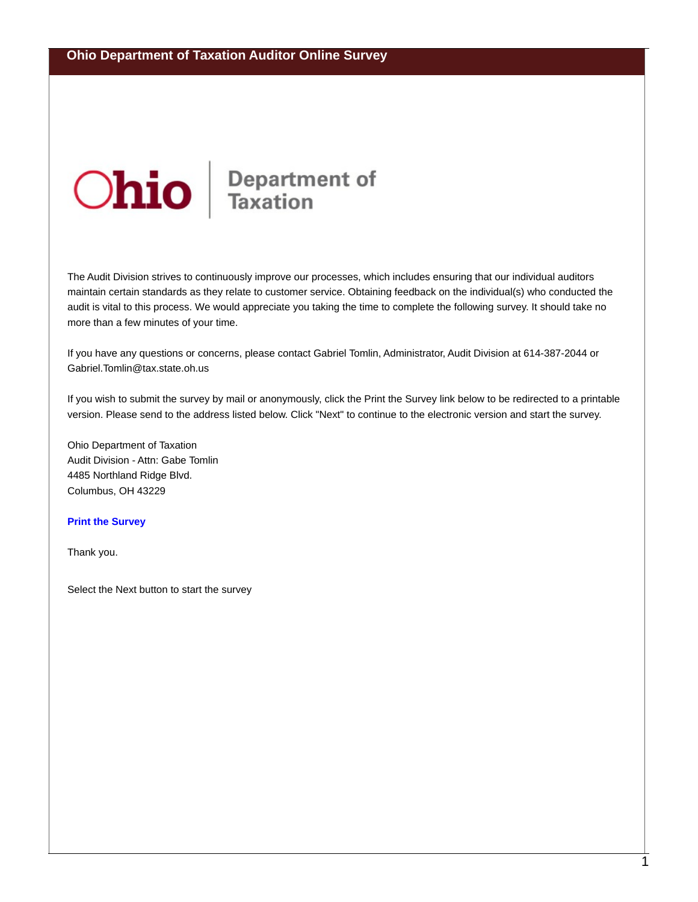# Ohio Bepartment of

The Audit Division strives to continuously improve our processes, which includes ensuring that our individual auditors maintain certain standards as they relate to customer service. Obtaining feedback on the individual(s) who conducted the audit is vital to this process. We would appreciate you taking the time to complete the following survey. It should take no more than a few minutes of your time.

If you have any questions or concerns, please contact Gabriel Tomlin, Administrator, Audit Division at 614-387-2044 or Gabriel.Tomlin@tax.state.oh.us

If you wish to submit the survey by mail or anonymously, click the Print the Survey link below to be redirected to a printable version. Please send to the address listed below. Click "Next" to continue to the electronic version and start the survey.

Ohio Department of Taxation Audit Division - Attn: Gabe Tomlin 4485 Northland Ridge Blvd. Columbus, OH 43229

#### **Print the [Survey](http://www.tax.ohio.gov/Portals/0/Documents/AuditorCustomerServiceSurvey.pdf)**

Thank you.

Select the Next button to start the survey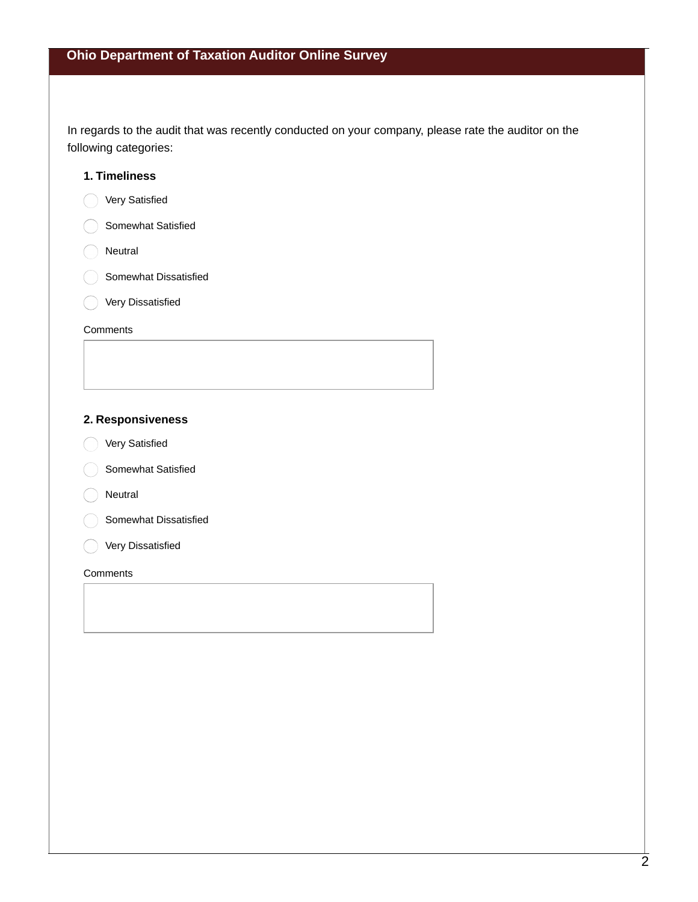In regards to the audit that was recently conducted on your company, please rate the auditor on the following categories:

# **1. Timeliness**

- Very Satisfied
- Somewhat Satisfied
- Neutral
- Somewhat Dissatisfied
- O Very Dissatisfied

#### **Comments**

# **2. Responsiveness**

- Very Satisfied
- Somewhat Satisfied
- $\bigcirc$  Neutral
- $\bigcap$  Somewhat Dissatisfied
- O Very Dissatisfied

#### Comments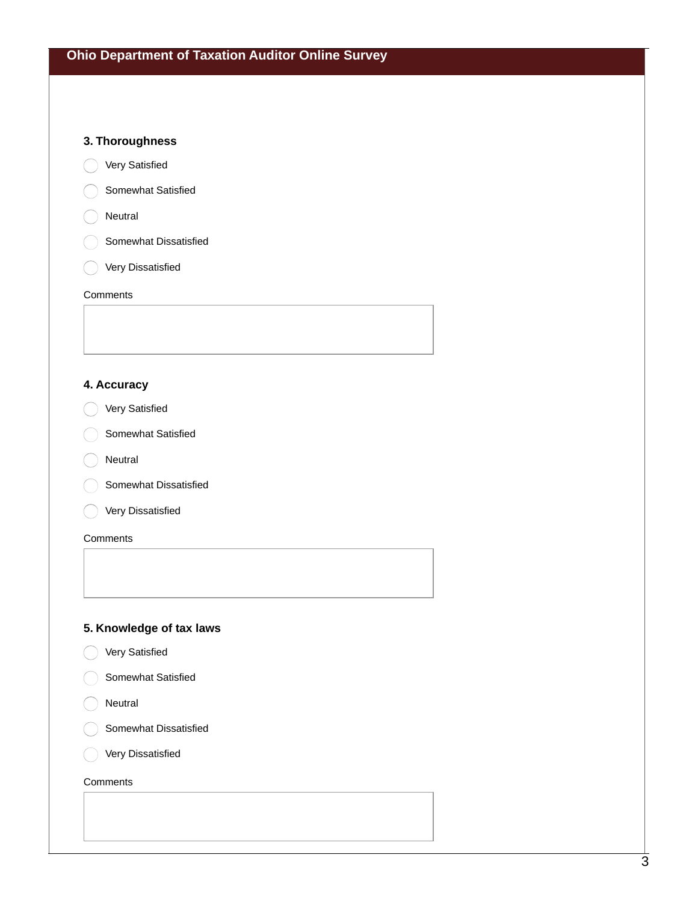# **3. Thoroughness**

- O Very Satisfied
- Somewhat Satisfied
- O Neutral
- $\bigcap$  Somewhat Dissatisfied
- O Very Dissatisfied

#### **Comments**

#### **4. Accuracy**

- Very Satisfied
- Somewhat Satisfied
- $\bigcap$  Neutral
- **Somewhat Dissatisfied**
- O Very Dissatisfied

#### **Comments**

# **5. Knowledge of tax laws**

- O Very Satisfied
- ( ) Somewhat Satisfied
- ( Neutral
- Somewhat Dissatisfied
- O Very Dissatisfied

#### **Comments**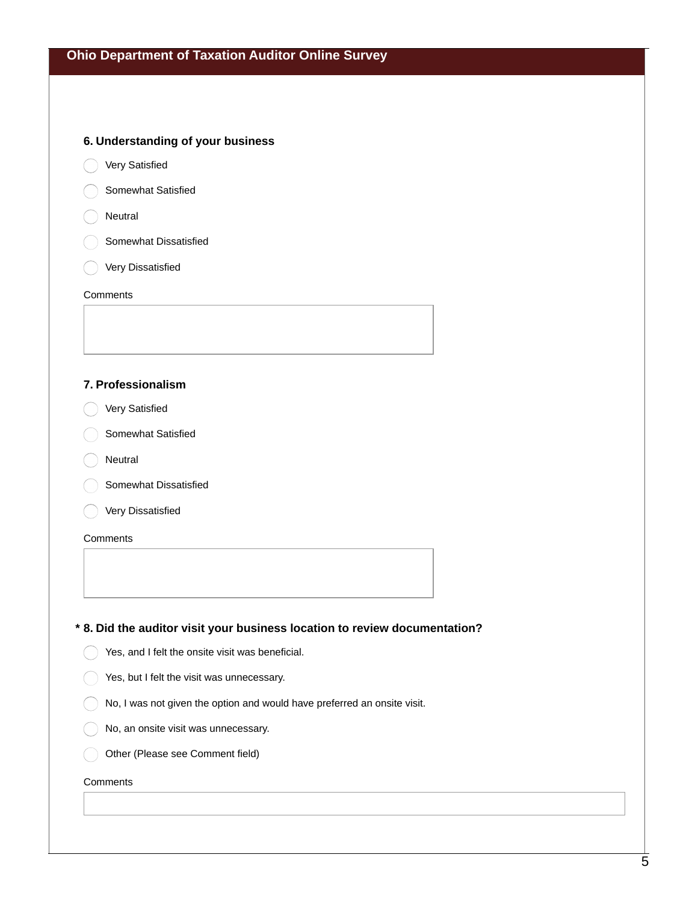### **6. Understanding of your business**

- O Very Satisfied
- Somewhat Satisfied
- O Neutral
- Somewhat Dissatisfied
- O Very Dissatisfied

#### **Comments**

#### **7. Professionalism**

- Very Satisfied
- Somewhat Satisfied
- Neutral
- **Somewhat Dissatisfied**
- O Very Dissatisfied

#### **Comments**

**\* 8. Did the auditor visit your business location to review documentation?**

- $\bigcirc$  Yes, and I felt the onsite visit was beneficial.
- Yes, but I felt the visit was unnecessary.
- $\bigcap$  No, I was not given the option and would have preferred an onsite visit.
- (C) No, an onsite visit was unnecessary.
- Other (Please see Comment field)

#### **Comments**